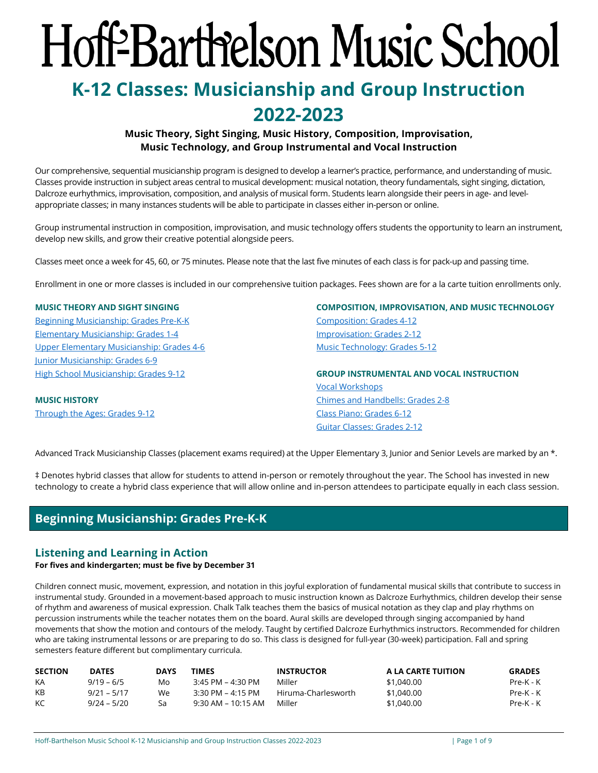# <span id="page-0-1"></span>Hoff-Barthelson Music School

# **K-12 Classes: Musicianship and Group Instruction 2022-2023**

# **Music Theory, Sight Singing, Music History, Composition, Improvisation, Music Technology, and Group Instrumental and Vocal Instruction**

Our comprehensive, sequential musicianship program is designed to develop a learner's practice, performance, and understanding of music. Classes provide instruction in subject areas central to musical development: musical notation, theory fundamentals, sight singing, dictation, Dalcroze eurhythmics, improvisation, composition, and analysis of musical form. Students learn alongside their peers in age- and levelappropriate classes; in many instances students will be able to participate in classes either in-person or online.

Group instrumental instruction in composition, improvisation, and music technology offers students the opportunity to learn an instrument, develop new skills, and grow their creative potential alongside peers.

Classes meet once a week for 45, 60, or 75 minutes. Please note that the last five minutes of each class is for pack-up and passing time.

Enrollment in one or more classes is included in our comprehensive tuition packages. Fees shown are for a la carte tuition enrollments only.

### **MUSIC THEORY AND SIGHT SINGING**

[Beginning Musicianship: Grades Pre-K-K](#page-0-0) [Elementary Musicianship: Grades 1-4](#page-1-0)  [Upper Elementary Musicianship: Grades 4-6](#page-1-1)  [Junior Musicianship: Grades 6-9](#page-2-0) High [School Musicianship: Grades 9-12](#page-3-0)

**MUSIC HISTORY** [Through the Ages: Grades 9-12](#page-5-0) **[COMPOSITION, IMPROVISATION, AND MUSIC TECHNOLOGY](#page-5-1)** [Composition: Grades 4-12](#page-5-2) [Improvisation: Grades 2-12](#page-6-0) [Music Technology: Grades 5-12](#page-6-1)

**GROUP INSTRUMENTAL AND VOCAL INSTRUCTION** [Vocal Workshops](#page-4-0) [Chimes and Handbells: Grades 2-8](#page-7-0)  [Class Piano: Grades 6-12](#page-8-0) [Guitar Classes: Grades 2-12](#page-7-1)

Advanced Track Musicianship Classes (placement exams required) at the Upper Elementary 3, Junior and Senior Levels are marked by an  $*$ .

‡ Denotes hybrid classes that allow for students to attend in-person or remotely throughout the year. The School has invested in new technology to create a hybrid class experience that will allow online and in-person attendees to participate equally in each class session.

# **Beginning Musicianship: Grades Pre-K-K**

# <span id="page-0-0"></span>**Listening and Learning in Action**

### **For fives and kindergarten; must be five by December 31**

Children connect music, movement, expression, and notation in this joyful exploration of fundamental musical skills that contribute to success in instrumental study. Grounded in a movement-based approach to music instruction known as Dalcroze Eurhythmics, children develop their sense of rhythm and awareness of musical expression. Chalk Talk teaches them the basics of musical notation as they clap and play rhythms on percussion instruments while the teacher notates them on the board. Aural skills are developed through singing accompanied by hand movements that show the motion and contours of the melody. Taught by certified Dalcroze Eurhythmics instructors. Recommended for children who are taking instrumental lessons or are preparing to do so. This class is designed for full-year (30-week) participation. Fall and spring semesters feature different but complimentary curricula.

| <b>SECTION</b> | <b>DATES</b> | <b>DAYS</b> | TIMES                | <b>INSTRUCTOR</b>   | A LA CARTE TUITION | <b>GRADES</b> |
|----------------|--------------|-------------|----------------------|---------------------|--------------------|---------------|
| KA             | $9/19 - 6/5$ | Mo          | 3:45 PM – 4:30 PM    | Miller              | \$1,040.00         | Pre-K - K     |
| KB             | 9/21 – 5/17  | We          | 3:30 PM – 4:15 PM    | Hiruma-Charlesworth | \$1,040,00         | Pre-K - K     |
| KC.            | 9/24 – 5/20  | Sa          | $9:30$ AM – 10:15 AM | Miller              | \$1,040.00         | Pre-K - K     |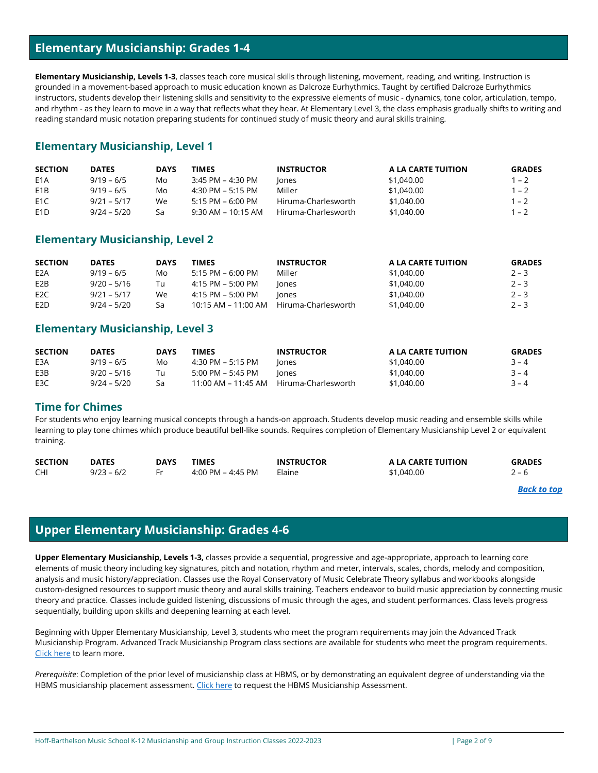# **Elementary Musicianship: Grades 1-4**

<span id="page-1-0"></span>**Elementary Musicianship, Levels 1-3**, classes teach core musical skills through listening, movement, reading, and writing. Instruction is grounded in a movement-based approach to music education known as Dalcroze Eurhythmics. Taught by certified Dalcroze Eurhythmics instructors, students develop their listening skills and sensitivity to the expressive elements of music - dynamics, tone color, articulation, tempo, and rhythm - as they learn to move in a way that reflects what they hear. At Elementary Level 3, the class emphasis gradually shifts to writing and reading standard music notation preparing students for continued study of music theory and aural skills training.

# **Elementary Musicianship, Level 1**

| <b>SECTION</b>   | <b>DATES</b>  | <b>DAYS</b> | TIMES                | <b>INSTRUCTOR</b>   | A LA CARTE TUITION | <b>GRADES</b> |
|------------------|---------------|-------------|----------------------|---------------------|--------------------|---------------|
| E <sub>1</sub> A | $9/19 - 6/5$  | Mo          | 3:45 PM – 4:30 PM    | lones               | \$1,040.00         | $1 - 2$       |
| E <sub>1</sub> B | $9/19 - 6/5$  | Mo          | 4:30 PM – 5:15 PM    | Miller              | \$1,040,00         | $1 - 2$       |
| E <sub>1</sub> C | $9/21 - 5/17$ | We.         | 5:15 PM – 6:00 PM    | Hiruma-Charlesworth | \$1,040.00         | $1 - 2$       |
| E <sub>1</sub> D | $9/24 - 5/20$ | Sa          | $9:30$ AM – 10:15 AM | Hiruma-Charlesworth | \$1,040,00         | 1 – 2         |

# **Elementary Musicianship, Level 2**

| <b>SECTION</b>   | <b>DATES</b>  | <b>DAYS</b> | TIMES               | <b>INSTRUCTOR</b>   | A LA CARTE TUITION | <b>GRADES</b> |
|------------------|---------------|-------------|---------------------|---------------------|--------------------|---------------|
| E <sub>2</sub> A | $9/19 - 6/5$  | Mo          | $5:15$ PM – 6:00 PM | Miller              | \$1,040.00         | $2 - 3$       |
| E <sub>2</sub> B | $9/20 - 5/16$ | Tu          | 4:15 PM – 5:00 PM   | lones               | \$1,040.00         | $2 - 3$       |
| E <sub>2</sub> C | $9/21 - 5/17$ | We          | 4:15 PM – 5:00 PM   | lones               | \$1,040.00         | $2 - 3$       |
| E <sub>2</sub> D | $9/24 - 5/20$ | Sa          | 10:15 AM – 11:00 AM | Hiruma-Charlesworth | \$1,040.00         | $2 - 3$       |

# **Elementary Musicianship, Level 3**

| <b>SECTION</b> | <b>DATES</b>  | <b>DAYS</b> | <b>TIMES</b>      | <b>INSTRUCTOR</b>                       | A LA CARTE TUITION | <b>GRADES</b> |
|----------------|---------------|-------------|-------------------|-----------------------------------------|--------------------|---------------|
| E3A            | $9/19 - 6/5$  | Mo          | 4:30 PM – 5:15 PM | lones                                   | \$1,040.00         | $3 - 4$       |
| E3B            | $9/20 - 5/16$ | Tн          | 5:00 PM – 5:45 PM | lones                                   | \$1,040.00         | $3 - 4$       |
| E3C            | $9/24 - 5/20$ | Sa          |                   | 11:00 AM – 11:45 AM Hiruma-Charlesworth | \$1,040,00         | $3 - 4$       |

# **Time for Chimes**

For students who enjoy learning musical concepts through a hands-on approach. Students develop music reading and ensemble skills while learning to play tone chimes which produce beautiful bell-like sounds. Requires completion of Elementary Musicianship Level 2 or equivalent training.

| <b>SECTION</b> | <b>DATES</b> | DAYS | TIMES             | <b>INSTRUCTOR</b> | A LA CARTE TUITION | <b>GRADES</b> |
|----------------|--------------|------|-------------------|-------------------|--------------------|---------------|
| <b>CHI</b>     | $9/23 - 6/2$ |      | 4:00 PM – 4:45 PM | Elaine            | \$1,040,00         | $-r$          |

*[Back to top](#page-0-1)*

# **Upper Elementary Musicianship: Grades 4-6**

<span id="page-1-1"></span>**Upper Elementary Musicianship, Levels 1-3,** classes provide a sequential, progressive and age-appropriate, approach to learning core elements of music theory including key signatures, pitch and notation, rhythm and meter, intervals, scales, chords, melody and composition, analysis and music history/appreciation. Classes use the Royal Conservatory of Music Celebrate Theory syllabus and workbooks alongside custom-designed resources to support music theory and aural skills training. Teachers endeavor to build music appreciation by connecting music theory and practice. Classes include guided listening, discussions of music through the ages, and student performances. Class levels progress sequentially, building upon skills and deepening learning at each level.

Beginning with Upper Elementary Musicianship, Level 3, students who meet the program requirements may join the Advanced Track Musicianship Program. Advanced Track Musicianship Program class sections are available for students who meet the program requirements. [Click here](https://hbms.org/wp-content/uploads/HBMS_Advanced_Track_Musicianship_Program_Overview.pdf) to learn more.

*Prerequisite*: Completion of the prior level of musicianship class at HBMS, or by demonstrating an equivalent degree of understanding via the HBMS musicianship placement assessment[. Click here](https://forms.office.com/pages/responsepage.aspx?id=Sx2y_n6yREKKRpmelxZcFfzr2nCIcL5Kru-bKgSCsU1UOTdIM1ZaTjNWSkhNNUxLQzdUNlhRVU9PTCQlQCN0PWcu&wdLOR=cDF941B8C-B6DB-4A68-86C9-0C5ACA37811A) to request the HBMS Musicianship Assessment.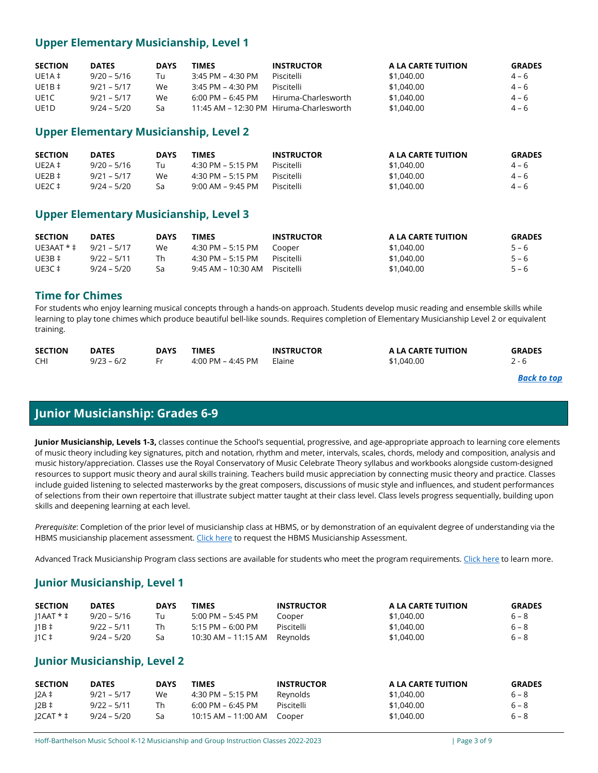# **Upper Elementary Musicianship, Level 1**

| <b>SECTION</b>    | <b>DATES</b>  | <b>DAYS</b> | TIMES               | <b>INSTRUCTOR</b>                       | A LA CARTE TUITION | <b>GRADES</b> |
|-------------------|---------------|-------------|---------------------|-----------------------------------------|--------------------|---------------|
| UE1A $\ddagger$   | $9/20 - 5/16$ | Tu          | 3:45 PM – 4:30 PM   | Piscitelli                              | \$1,040,00         | $4 - 6$       |
| $UE1B \ddagger$   | $9/21 - 5/17$ | We.         | $3:45$ PM – 4:30 PM | Piscitelli                              | \$1,040,00         | $4 - 6$       |
| UE1C              | $9/21 - 5/17$ | We.         | 6:00 PM – 6:45 PM   | Hiruma-Charlesworth                     | \$1,040.00         | $4 - 6$       |
| UE <sub>1</sub> D | $9/24 - 5/20$ | Sa          |                     | 11:45 AM - 12:30 PM Hiruma-Charlesworth | \$1,040.00         | $4 - 6$       |

# **Upper Elementary Musicianship, Level 2**

| <b>SECTION</b>  | <b>DATES</b>  | <b>DAYS</b> | TIMES             | <b>INSTRUCTOR</b> | A LA CARTE TUITION | <b>GRADES</b> |
|-----------------|---------------|-------------|-------------------|-------------------|--------------------|---------------|
| UE2A $\ddagger$ | $9/20 - 5/16$ | Tu          | 4:30 PM – 5:15 PM | Piscitelli        | \$1,040,00         | $4 - 6$       |
| UE2B $\ddagger$ | $9/21 - 5/17$ | We          | 4:30 PM – 5:15 PM | Piscitelli        | \$1,040,00         | $4 - 6$       |
| UE2C ‡          | $9/24 - 5/20$ | Sa          | 9:00 AM – 9:45 PM | Piscitelli        | \$1,040,00         | $4 - 6$       |

# **Upper Elementary Musicianship, Level 3**

| <b>SECTION</b>             | <b>DATES</b>  | <b>DAYS</b> | TIMES                           | <b>INSTRUCTOR</b> | A LA CARTE TUITION | <b>GRADES</b> |
|----------------------------|---------------|-------------|---------------------------------|-------------------|--------------------|---------------|
| UE3AAT * $\pm$ 9/21 – 5/17 |               | We          | 4:30 PM – 5:15 PM               | Cooper            | \$1,040,00         | $5 - 6$       |
| UE3B $\ddagger$            | $9/22 - 5/11$ | Th          | 4:30 PM – 5:15 PM               | Piscitelli        | \$1,040.00         | $5 - 6$       |
| UE3C ‡                     | $9/24 - 5/20$ | Sa          | 9:45 AM – 10:30 AM – Piscitelli |                   | \$1,040,00         | $5 - 6$       |

# **Time for Chimes**

For students who enjoy learning musical concepts through a hands-on approach. Students develop music reading and ensemble skills while learning to play tone chimes which produce beautiful bell-like sounds. Requires completion of Elementary Musicianship Level 2 or equivalent training.

| <b>SECTION</b> | <b>DATES</b> | DAYS | <b>TIMES</b>      | <b>INSTRUCTOR</b> | A LA CARTE TUITION | <b>GRADES</b> |
|----------------|--------------|------|-------------------|-------------------|--------------------|---------------|
| <b>CHI</b>     | $9/23 - 6/2$ |      | 4:00 PM – 4:45 PM | Elaine            | \$1,040.00         |               |

### *[Back to top](#page-0-1)*

# **Junior Musicianship: Grades 6-9**

<span id="page-2-0"></span>**Junior Musicianship, Levels 1-3,** classes continue the School's sequential, progressive, and age-appropriate approach to learning core elements of music theory including key signatures, pitch and notation, rhythm and meter, intervals, scales, chords, melody and composition, analysis and music history/appreciation. Classes use the Royal Conservatory of Music Celebrate Theory syllabus and workbooks alongside custom-designed resources to support music theory and aural skills training. Teachers build music appreciation by connecting music theory and practice. Classes include guided listening to selected masterworks by the great composers, discussions of music style and influences, and student performances of selections from their own repertoire that illustrate subject matter taught at their class level. Class levels progress sequentially, building upon skills and deepening learning at each level.

*Prerequisite*: Completion of the prior level of musicianship class at HBMS, or by demonstration of an equivalent degree of understanding via the HBMS musicianship placement assessment[. Click here](https://forms.office.com/pages/responsepage.aspx?id=Sx2y_n6yREKKRpmelxZcFfzr2nCIcL5Kru-bKgSCsU1UOTdIM1ZaTjNWSkhNNUxLQzdUNlhRVU9PTCQlQCN0PWcu&wdLOR=cDF941B8C-B6DB-4A68-86C9-0C5ACA37811A) to request the HBMS Musicianship Assessment.

Advanced Track Musicianship Program class sections are available for students who meet the program requirements. [Click here](https://hbms.org/wp-content/uploads/HBMS_Advanced_Track_Musicianship_Program_Overview.pdf) to learn more.

# **Junior Musicianship, Level 1**

| <b>SECTION</b>     | <b>DATES</b>  | <b>DAYS</b> | TIMES                            | <b>INSTRUCTOR</b> | A LA CARTE TUITION | <b>GRADES</b> |
|--------------------|---------------|-------------|----------------------------------|-------------------|--------------------|---------------|
| $11AAT * \ddagger$ | $9/20 - 5/16$ | Tu          | 5:00 PM - 5:45 PM                | Cooper            | \$1,040,00         | $6 - 8$       |
| $11B \ddagger$     | $9/22 - 5/11$ | Th          | $5:15$ PM – 6:00 PM              | Piscitelli        | \$1,040.00         | $6 - 8$       |
| $\vert$ 1C ‡       | $9/24 - 5/20$ | Sa          | $10:30$ AM $- 11:15$ AM Reynolds |                   | \$1,040,00         | $6 - 8$       |

# **Junior Musicianship, Level 2**

| <b>SECTION</b> | <b>DATES</b>  | <b>DAYS</b> | TIMES                               | <b>INSTRUCTOR</b> | A LA CARTE TUITION | <b>GRADES</b> |
|----------------|---------------|-------------|-------------------------------------|-------------------|--------------------|---------------|
| 2A ‡           | 9/21 – 5/17   | We          | 4:30 PM – 5:15 PM                   | Reynolds          | \$1,040.00         | $6 - 8$       |
| 2B             | 9/22 – 5/11   | Th          | $6:00 \text{ PM} - 6:45 \text{ PM}$ | Piscitelli        | \$1,040.00         | $6 - 8$       |
| $ICAT * 1$     | $9/24 - 5/20$ | Sa          | 10:15 AM - 11:00 AM Cooper          |                   | \$1,040,00         | $6 - 8$       |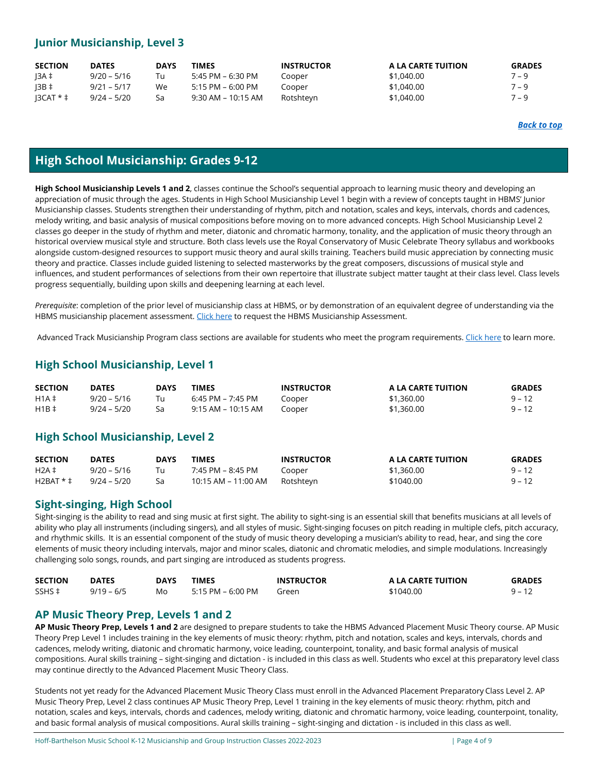# **Junior Musicianship, Level 3**

| <b>SECTION</b> | <b>DATES</b>  | <b>DAYS</b> | TIMES              | <b>INSTRUCTOR</b> | A LA CARTE TUITION | <b>GRADES</b> |
|----------------|---------------|-------------|--------------------|-------------------|--------------------|---------------|
| 13A ‡          | $9/20 - 5/16$ | Tu          | 5:45 PM – 6:30 PM  | Cooper            | \$1,040.00         | $7 - 9$       |
| $13B \ddagger$ | $9/21 - 5/17$ | We.         | 5:15 PM – 6:00 PM  | Cooper            | \$1,040.00         | $7 - 9$       |
| $ 3$ CAT $*$ ‡ | $9/24 - 5/20$ | Sa          | 9:30 AM – 10:15 AM | Rotshteyn         | \$1,040,00         | $7 - 9$       |

# **High School Musicianship: Grades 9-12**

<span id="page-3-0"></span>**High School Musicianship Levels 1 and 2**, classes continue the School's sequential approach to learning music theory and developing an appreciation of music through the ages. Students in High School Musicianship Level 1 begin with a review of concepts taught in HBMS' Junior Musicianship classes. Students strengthen their understanding of rhythm, pitch and notation, scales and keys, intervals, chords and cadences, melody writing, and basic analysis of musical compositions before moving on to more advanced concepts. High School Musicianship Level 2 classes go deeper in the study of rhythm and meter, diatonic and chromatic harmony, tonality, and the application of music theory through an historical overview musical style and structure. Both class levels use the Royal Conservatory of Music Celebrate Theory syllabus and workbooks alongside custom-designed resources to support music theory and aural skills training. Teachers build music appreciation by connecting music theory and practice. Classes include guided listening to selected masterworks by the great composers, discussions of musical style and influences, and student performances of selections from their own repertoire that illustrate subject matter taught at their class level. Class levels progress sequentially, building upon skills and deepening learning at each level.

*Prerequisite*: completion of the prior level of musicianship class at HBMS, or by demonstration of an equivalent degree of understanding via the HBMS musicianship placement assessment[. Click here](https://forms.office.com/pages/responsepage.aspx?id=Sx2y_n6yREKKRpmelxZcFfzr2nCIcL5Kru-bKgSCsU1UOTdIM1ZaTjNWSkhNNUxLQzdUNlhRVU9PTCQlQCN0PWcu&wdLOR=cDF941B8C-B6DB-4A68-86C9-0C5ACA37811A) to request the HBMS Musicianship Assessment.

Advanced Track Musicianship Program class sections are available for students who meet the program requirements. [Click here](https://hbms.org/wp-content/uploads/HBMS_Advanced_Track_Musicianship_Program_Overview.pdf) to learn more.

# **High School Musicianship, Level 1**

| <b>SECTION</b> | <b>DATES</b>  | <b>DAYS</b> | <b>TIMES</b>       | <b>INSTRUCTOR</b> | A LA CARTE TUITION | <b>GRADES</b> |
|----------------|---------------|-------------|--------------------|-------------------|--------------------|---------------|
| $H1A \ddagger$ | 9/20 – 5/16   |             | 6:45 PM – 7:45 PM  | Cooper            | \$1,360.00         | $9 - 12$      |
| $H1B \ddagger$ | $9/24 - 5/20$ |             | 9:15 AM – 10:15 AM | Cooper            | \$1,360.00         | $9 - 12$      |

# **High School Musicianship, Level 2**

| <b>SECTION</b> | <b>DATES</b>  | <b>DAYS</b> | <b>TIMES</b>        | <b>INSTRUCTOR</b> | A LA CARTE TUITION | <b>GRADES</b> |
|----------------|---------------|-------------|---------------------|-------------------|--------------------|---------------|
| $H2A \ddagger$ | $9/20 - 5/16$ | Tu          | 7:45 PM – 8:45 PM   | Cooper            | \$1,360.00         | $9 - 12$      |
| $H2BAT * 1$    | $9/24 - 5/20$ | Sa          | 10:15 AM – 11:00 AM | Rotshteyn         | \$1040.00          | $9 - 12$      |

# **Sight-singing, High School**

Sight-singing is the ability to read and sing music at first sight. The ability to sight-sing is an essential skill that benefits musicians at all levels of ability who play all instruments (including singers), and all styles of music. Sight-singing focuses on pitch reading in multiple clefs, pitch accuracy, and rhythmic skills. It is an essential component of the study of music theory developing a musician's ability to read, hear, and sing the core elements of music theory including intervals, major and minor scales, diatonic and chromatic melodies, and simple modulations. Increasingly challenging solo songs, rounds, and part singing are introduced as students progress.

| <b>SECTION</b> | <b>DATES</b> | <b>DAYS</b> | TIMES             | <b>INSTRUCTOR</b> | A LA CARTE TUITION | <b>GRADES</b> |
|----------------|--------------|-------------|-------------------|-------------------|--------------------|---------------|
| SSHS ‡         | $9/19 - 6/5$ | Mo          | 5:15 PM – 6:00 PM | Green             | \$1040.00          | $9 - 12$      |

# **AP Music Theory Prep, Levels 1 and 2**

**AP Music Theory Prep, Levels 1 and 2** are designed to prepare students to take the HBMS Advanced Placement Music Theory course. AP Music Theory Prep Level 1 includes training in the key elements of music theory: rhythm, pitch and notation, scales and keys, intervals, chords and cadences, melody writing, diatonic and chromatic harmony, voice leading, counterpoint, tonality, and basic formal analysis of musical compositions. Aural skills training – sight-singing and dictation - is included in this class as well. Students who excel at this preparatory level class may continue directly to the Advanced Placement Music Theory Class.

Students not yet ready for the Advanced Placement Music Theory Class must enroll in the Advanced Placement Preparatory Class Level 2. AP Music Theory Prep, Level 2 class continues AP Music Theory Prep, Level 1 training in the key elements of music theory: rhythm, pitch and notation, scales and keys, intervals, chords and cadences, melody writing, diatonic and chromatic harmony, voice leading, counterpoint, tonality, and basic formal analysis of musical compositions. Aural skills training – sight-singing and dictation - is included in this class as well.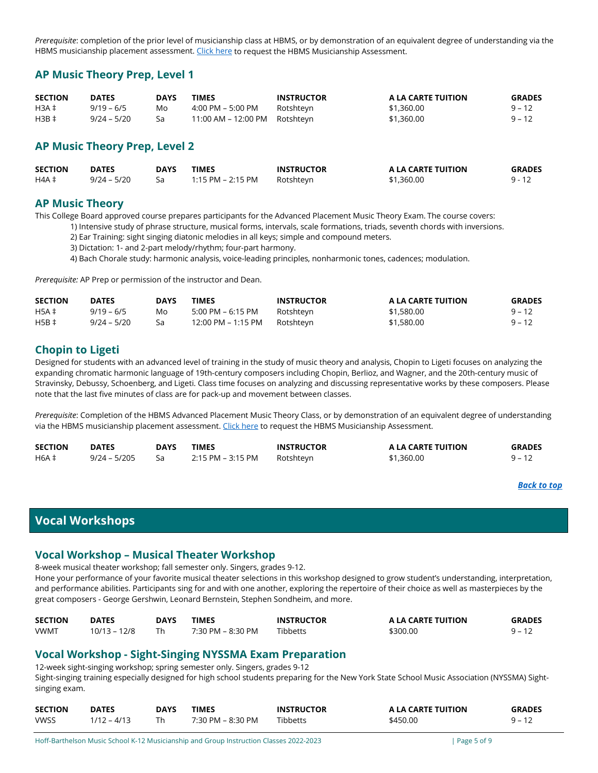*Prerequisite*: completion of the prior level of musicianship class at HBMS, or by demonstration of an equivalent degree of understanding via the HBMS musicianship placement assessment[. Click here](https://forms.office.com/pages/responsepage.aspx?id=Sx2y_n6yREKKRpmelxZcFfzr2nCIcL5Kru-bKgSCsU1UOTdIM1ZaTjNWSkhNNUxLQzdUNlhRVU9PTCQlQCN0PWcu&wdLOR=cDF941B8C-B6DB-4A68-86C9-0C5ACA37811A) to request the HBMS Musicianship Assessment.

# **AP Music Theory Prep, Level 1**

| <b>SECTION</b> | <b>DATES</b>  | <b>DAYS</b> | TIMES                         | <b>INSTRUCTOR</b> | A LA CARTE TUITION | <b>GRADES</b> |
|----------------|---------------|-------------|-------------------------------|-------------------|--------------------|---------------|
| $H3A \ddagger$ | $9/19 - 6/5$  | Mo          | 4:00 PM – 5:00 PM             | Rotshteyn         | \$1,360.00         | $9 - 12$      |
| $H3B \ddagger$ | $9/24 - 5/20$ | Sa          | 11:00 AM – 12:00 PM Rotshteyn |                   | \$1,360.00         | 9 – 12        |

# **AP Music Theory Prep, Level 2**

| <b>SECTION</b> | <b>DATES</b>  | <b>DAYS</b> | <b>TIMES</b>      | <b>INSTRUCTOR</b> | A LA CARTE TUITION | <b>GRADES</b> |
|----------------|---------------|-------------|-------------------|-------------------|--------------------|---------------|
| H4A ‡          | $9/24 - 5/20$ |             | 1:15 PM – 2:15 PM | Rotshteyn         | \$1,360.00         | $9 - 12$      |

# **AP Music Theory**

This College Board approved course prepares participants for the Advanced Placement Music Theory Exam. The course covers:

1) Intensive study of phrase structure, musical forms, intervals, scale formations, triads, seventh chords with inversions.

2) Ear Training: sight singing diatonic melodies in all keys; simple and compound meters.

3) Dictation: 1- and 2-part melody/rhythm; four-part harmony.

4) Bach Chorale study: harmonic analysis, voice-leading principles, nonharmonic tones, cadences; modulation.

*Prerequisite:* AP Prep or permission of the instructor and Dean.

| <b>SECTION</b> | <b>DATES</b>  | <b>DAYS</b> | TIMES              | <b>INSTRUCTOR</b> | A LA CARTE TUITION | <b>GRADES</b> |
|----------------|---------------|-------------|--------------------|-------------------|--------------------|---------------|
| $H5A \ddagger$ | $9/19 - 6/5$  | Mo          | 5:00 PM – 6:15 PM  | Rotshteyn         | \$1,580.00         | $9 - 12$      |
| $H5B \ddagger$ | $9/24 - 5/20$ | Sa          | 12:00 PM – 1:15 PM | Rotshteyn         | \$1,580.00         | 9 – 12        |

# **Chopin to Ligeti**

Designed for students with an advanced level of training in the study of music theory and analysis, Chopin to Ligeti focuses on analyzing the expanding chromatic harmonic language of 19th-century composers including Chopin, Berlioz, and Wagner, and the 20th-century music of Stravinsky, Debussy, Schoenberg, and Ligeti. Class time focuses on analyzing and discussing representative works by these composers. Please note that the last five minutes of class are for pack-up and movement between classes.

*Prerequisite*: Completion of the HBMS Advanced Placement Music Theory Class, or by demonstration of an equivalent degree of understanding via the HBMS musicianship placement assessment[. Click here](https://forms.office.com/pages/responsepage.aspx?id=Sx2y_n6yREKKRpmelxZcFfzr2nCIcL5Kru-bKgSCsU1UOTdIM1ZaTjNWSkhNNUxLQzdUNlhRVU9PTCQlQCN0PWcu&wdLOR=cDF941B8C-B6DB-4A68-86C9-0C5ACA37811A) to request the HBMS Musicianship Assessment.

| <b>SECTION</b> | <b>DATES</b>   | DAYS | TIMES             | <b>INSTRUCTOR</b> | A LA CARTE TUITION | <b>GRADES</b> |
|----------------|----------------|------|-------------------|-------------------|--------------------|---------------|
| <b>H6A ‡</b>   | $9/24 - 5/205$ |      | 2:15 PM – 3:15 PM | Rotshteyn         | \$1,360.00         | $9 - 12$      |

### *[Back to top](#page-0-1)*

# <span id="page-4-0"></span>**Vocal Workshops**

# **Vocal Workshop – Musical Theater Workshop**

8-week musical theater workshop; fall semester only. Singers, grades 9-12. Hone your performance of your favorite musical theater selections in this workshop designed to grow student's understanding, interpretation, and performance abilities. Participants sing for and with one another, exploring the repertoire of their choice as well as masterpieces by the great composers - George Gershwin, Leonard Bernstein, Stephen Sondheim, and more.

| <b>SECTION</b> | <b>DATES</b> | DAYS | <b>TIMES</b>      | <b>INSTRUCTOR</b> | A LA CARTE TUITION | <b>GRADES</b> |
|----------------|--------------|------|-------------------|-------------------|--------------------|---------------|
| <b>VWMT</b>    | 10/13 – 12/8 |      | 7:30 PM – 8:30 PM | Tibbetts          | \$300.00           | $9 - 17$      |

# **Vocal Workshop - Sight-Singing NYSSMA Exam Preparation**

12-week sight-singing workshop; spring semester only. Singers, grades 9-12 Sight-singing training especially designed for high school students preparing for the New York State School Music Association (NYSSMA) Sightsinging exam.

| <b>SECTION</b> | <b>DATES</b>  | <b>DAYS</b> | <b>TIMES</b>      | <b>INSTRUCTOR</b> | A LA CARTE TUITION | <b>GRADES</b> |
|----------------|---------------|-------------|-------------------|-------------------|--------------------|---------------|
| <b>VWSS</b>    | $1/12 - 4/13$ |             | 7:30 PM – 8:30 PM | <b>Tibbetts</b>   | \$450.00           | $9 - 12$      |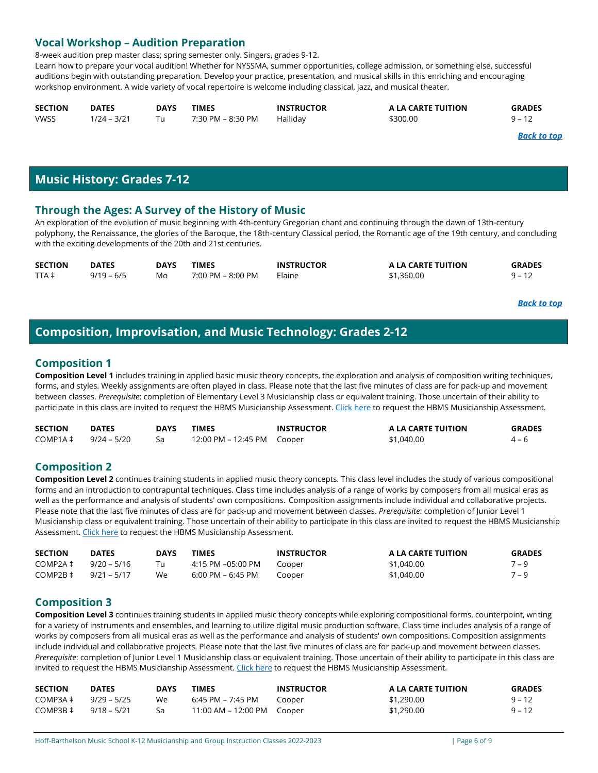# **Vocal Workshop – Audition Preparation**

8-week audition prep master class; spring semester only. Singers, grades 9-12.

Learn how to prepare your vocal audition! Whether for NYSSMA, summer opportunities, college admission, or something else, successful auditions begin with outstanding preparation. Develop your practice, presentation, and musical skills in this enriching and encouraging workshop environment. A wide variety of vocal repertoire is welcome including classical, jazz, and musical theater.

| <b>SECTION</b> | <b>DATES</b>  | DAYS | TIMES             | <b>INSTRUCTOR</b> | A LA CARTE TUITION | <b>GRADES</b> |
|----------------|---------------|------|-------------------|-------------------|--------------------|---------------|
| <b>VWSS</b>    | $1/24 - 3/21$ |      | 7:30 PM – 8:30 PM | Hallidav          | \$300.00           | $9 - 12$      |

*[Back to top](#page-0-1)*

# **Music History: Grades 7-12**

# <span id="page-5-0"></span>**Through the Ages: A Survey of the History of Music**

An exploration of the evolution of music beginning with 4th-century Gregorian chant and continuing through the dawn of 13th-century polyphony, the Renaissance, the glories of the Baroque, the 18th-century Classical period, the Romantic age of the 19th century, and concluding with the exciting developments of the 20th and 21st centuries.

| <b>SECTION</b> | <b>DATES</b> | <b>DAYS</b> | <b>TIMES</b>      | <b>INSTRUCTOR</b> | A LA CARTE TUITION | <b>GRADES</b> |
|----------------|--------------|-------------|-------------------|-------------------|--------------------|---------------|
| TTA ‡          | $9/19 - 6/5$ | Mo          | 7:00 PM – 8:00 PM | Elaine            | \$1,360.00         | $9 - 12$      |

*[Back to top](#page-0-1)*

# <span id="page-5-1"></span>**Composition, Improvisation, and Music Technology: Grades 2-12**

# <span id="page-5-2"></span>**Composition 1**

**Composition Level 1** includes training in applied basic music theory concepts, the exploration and analysis of composition writing techniques, forms, and styles. Weekly assignments are often played in class. Please note that the last five minutes of class are for pack-up and movement between classes. *Prerequisite*: completion of Elementary Level 3 Musicianship class or equivalent training. Those uncertain of their ability to participate in this class are invited to request the HBMS Musicianship Assessment[. Click here](https://forms.office.com/pages/responsepage.aspx?id=Sx2y_n6yREKKRpmelxZcFfzr2nCIcL5Kru-bKgSCsU1UOTdIM1ZaTjNWSkhNNUxLQzdUNlhRVU9PTCQlQCN0PWcu&wdLOR=cDF941B8C-B6DB-4A68-86C9-0C5ACA37811A) to request the HBMS Musicianship Assessment.

| <b>SECTION</b>                | <b>DATES</b> | <b>DAYS</b> | TIMES                         | <b>INSTRUCTOR</b> | A LA CARTE TUITION | <b>GRADES</b> |
|-------------------------------|--------------|-------------|-------------------------------|-------------------|--------------------|---------------|
| $COMP1A \ddagger 9/24 - 5/20$ |              |             | 12:00 PM – 12:45 PM    Cooper |                   | \$1,040.00         | $4 - 6$       |

# **Composition 2**

**Composition Level 2** continues training students in applied music theory concepts. This class level includes the study of various compositional forms and an introduction to contrapuntal techniques. Class time includes analysis of a range of works by composers from all musical eras as well as the performance and analysis of students' own compositions.  Composition assignments include individual and collaborative projects. Please note that the last five minutes of class are for pack-up and movement between classes. *Prerequisite*: completion of Junior Level 1 Musicianship class or equivalent training. Those uncertain of their ability to participate in this class are invited to request the HBMS Musicianship Assessment[. Click here](https://forms.office.com/pages/responsepage.aspx?id=Sx2y_n6yREKKRpmelxZcFfzr2nCIcL5Kru-bKgSCsU1UOTdIM1ZaTjNWSkhNNUxLQzdUNlhRVU9PTCQlQCN0PWcu&wdLOR=cDF941B8C-B6DB-4A68-86C9-0C5ACA37811A) to request the HBMS Musicianship Assessment.

| <b>SECTION</b> | <b>DATES</b>  | <b>DAYS</b> | TIMES             | <b>INSTRUCTOR</b> | A LA CARTE TUITION | <b>GRADES</b> |
|----------------|---------------|-------------|-------------------|-------------------|--------------------|---------------|
| COMP2A‡        | 9/20 – 5/16   | Tu          | 4:15 PM –05:00 PM | Cooper            | \$1,040,00         | $7 - 9$       |
| COMP2B ‡       | $9/21 - 5/17$ | We          | 6:00 PM – 6:45 PM | Cooper            | \$1,040,00         | $7 - 9$       |

# **Composition 3**

**Composition Level 3** continues training students in applied music theory concepts while exploring compositional forms, counterpoint, writing for a variety of instruments and ensembles, and learning to utilize digital music production software. Class time includes analysis of a range of works by composers from all musical eras as well as the performance and analysis of students' own compositions. Composition assignments include individual and collaborative projects. Please note that the last five minutes of class are for pack-up and movement between classes. *Prerequisite*: completion of Junior Level 1 Musicianship class or equivalent training. Those uncertain of their ability to participate in this class are invited to request the HBMS Musicianship Assessment[. Click here](https://forms.office.com/pages/responsepage.aspx?id=Sx2y_n6yREKKRpmelxZcFfzr2nCIcL5Kru-bKgSCsU1UOTdIM1ZaTjNWSkhNNUxLQzdUNlhRVU9PTCQlQCN0PWcu&wdLOR=cDF941B8C-B6DB-4A68-86C9-0C5ACA37811A) to request the HBMS Musicianship Assessment.

| <b>SECTION</b> | <b>DATES</b>  | <b>DAYS</b> | <b>TIMES</b>               | <b>INSTRUCTOR</b> | A LA CARTE TUITION | <b>GRADES</b> |
|----------------|---------------|-------------|----------------------------|-------------------|--------------------|---------------|
| COMP3A‡        | $9/29 - 5/25$ | We          | 6:45 PM – 7:45 PM          | Cooper            | \$1,290.00         | $9 - 12$      |
| COMP3B‡        | $9/18 - 5/21$ | Sa          | 11:00 AM – 12:00 PM Cooper |                   | \$1,290.00         | $9 - 12$      |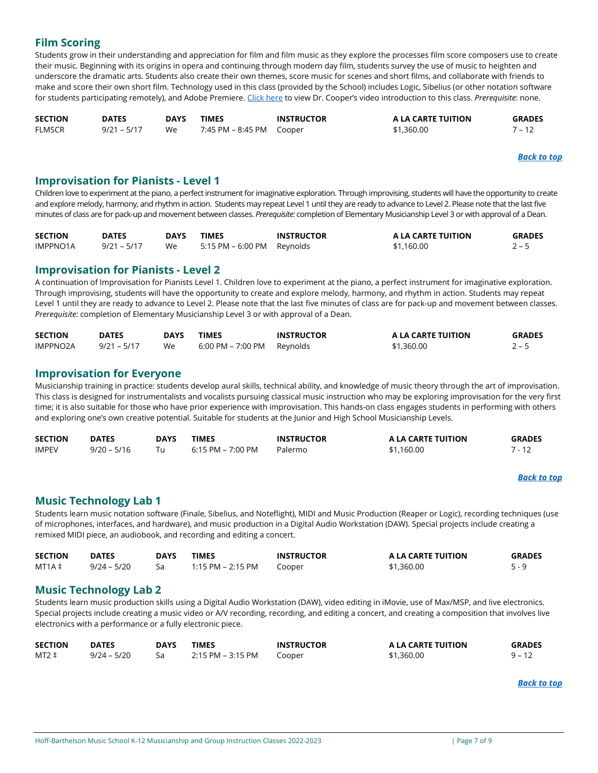# **Film Scoring**

Students grow in their understanding and appreciation for film and film music as they explore the processes film score composers use to create their music. Beginning with its origins in opera and continuing through modern day film, students survey the use of music to heighten and underscore the dramatic arts. Students also create their own themes, score music for scenes and short films, and collaborate with friends to make and score their own short film. Technology used in this class (provided by the School) includes Logic, Sibelius (or other notation software for students participating remotely), and Adobe Premiere[. Click here](https://youtu.be/d89rk8t2msU) to view Dr. Cooper's video introduction to this class. *Prerequisite*: none.

| <b>SECTION</b> | <b>DATES</b>  | <b>DAYS</b> | <b>TIMES</b> | <b>INSTRUCTOR</b> | A LA CARTE TUITION | <b>GRADES</b> |
|----------------|---------------|-------------|--------------|-------------------|--------------------|---------------|
| FLMSCR         | $9/21 - 5/17$ | We          |              |                   | \$1,360.00         | $7 - 12$      |

*[Back to top](#page-0-1)*

### <span id="page-6-0"></span>**Improvisation for Pianists - Level 1**

Children love to experiment at the piano, a perfect instrument for imaginative exploration. Through improvising, students will have the opportunity to create and explore melody, harmony, and rhythm in action. Students may repeat Level 1 until they are ready to advance to Level 2. Please note that the last five minutes of class are for pack-up and movement between classes. *Prerequisite:* completion of Elementary Musicianship Level 3 or with approval of a Dean.

| <b>SECTION</b>  | <b>DATES</b>  | DAYS | <b>TIMES</b>                                 | <b>INSTRUCTOR</b> | A LA CARTE TUITION | <b>GRADES</b> |
|-----------------|---------------|------|----------------------------------------------|-------------------|--------------------|---------------|
| <b>IMPPNO1A</b> | $9/21 - 5/17$ | We   | $5:15 \text{ PM} - 6:00 \text{ PM}$ Reynolds |                   | \$1,160.00         | $2 - 5$       |

# **Improvisation for Pianists - Level 2**

A continuation of Improvisation for Pianists Level 1. Children love to experiment at the piano, a perfect instrument for imaginative exploration. Through improvising, students will have the opportunity to create and explore melody, harmony, and rhythm in action. Students may repeat Level 1 until they are ready to advance to Level 2. Please note that the last five minutes of class are for pack-up and movement between classes. *Prerequisite:* completion of Elementary Musicianship Level 3 or with approval of a Dean.

| <b>SECTION</b> | <b>DATES</b>  | <b>DAYS</b> | <b>TIMES</b>               | <b>INSTRUCTOR</b> | A LA CARTE TUITION | <b>GRADES</b> |
|----------------|---------------|-------------|----------------------------|-------------------|--------------------|---------------|
| IMPPNO2A       | $9/21 - 5/17$ | We          | 6:00 PM – 7:00 PM Reynolds |                   | \$1,360.00         | $2 - 5$       |

# **Improvisation for Everyone**

Musicianship training in practice: students develop aural skills, technical ability, and knowledge of music theory through the art of improvisation. This class is designed for instrumentalists and vocalists pursuing classical music instruction who may be exploring improvisation for the very first time; it is also suitable for those who have prior experience with improvisation. This hands-on class engages students in performing with others and exploring one's own creative potential. Suitable for students at the Junior and High School Musicianship Levels.

| <b>SECTION</b> | <b>DATES</b>  | DAYS | TIMES             | <b>INSTRUCTOR</b> | A LA CARTE TUITION | <b>GRADES</b> |
|----------------|---------------|------|-------------------|-------------------|--------------------|---------------|
| <b>IMPEV</b>   | $9/20 - 5/16$ |      | 6:15 PM – 7:00 PM | Palermo           | \$1,160.00         |               |

### *[Back to top](#page-0-1)*

# <span id="page-6-1"></span>**Music Technology Lab 1**

Students learn music notation software (Finale, Sibelius, and Noteflight), MIDI and Music Production (Reaper or Logic), recording techniques (use of microphones, interfaces, and hardware), and music production in a Digital Audio Workstation (DAW). Special projects include creating a remixed MIDI piece, an audiobook, and recording and editing a concert.

| <b>SECTION</b>  | <b>DATES</b>  | DAYS | <b>TIMES</b>      | <b>INSTRUCTOR</b> | A LA CARTE TUITION | <b>GRADES</b> |
|-----------------|---------------|------|-------------------|-------------------|--------------------|---------------|
| $MT1A \ddagger$ | $9/24 - 5/20$ |      | 1:15 PM – 2:15 PM | Cooper            | \$1,360.00         |               |

# **Music Technology Lab 2**

Students learn music production skills using a Digital Audio Workstation (DAW), video editing in iMovie, use of Max/MSP, and live electronics. Special projects include creating a music video or A/V recording, recording, and editing a concert, and creating a composition that involves live electronics with a performance or a fully electronic piece.

| <b>SECTION</b> | <b>DATES</b>  | DAYS | TIMES             | <b>INSTRUCTOR</b> | A LA CARTE TUITION | <b>GRADES</b> |
|----------------|---------------|------|-------------------|-------------------|--------------------|---------------|
| $MT2 \ddagger$ | $9/24 - 5/20$ |      | 2:15 PM – 3:15 PM | Iooper            | \$1,360.00         | $Q -$         |

*[Back to top](#page-0-1)*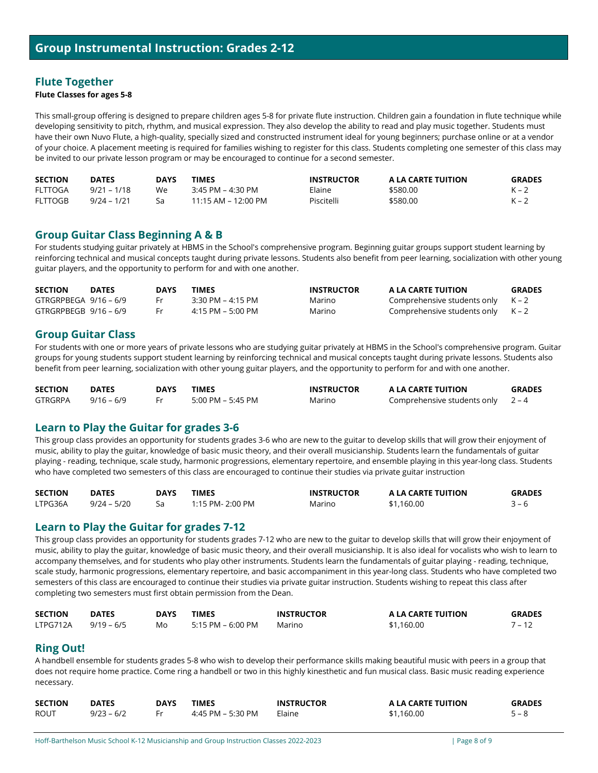# **Flute Together**

### **Flute Classes for ages 5-8**

This small-group offering is designed to prepare children ages 5-8 for private flute instruction. Children gain a foundation in flute technique while developing sensitivity to pitch, rhythm, and musical expression. They also develop the ability to read and play music together. Students must have their own Nuvo Flute, a high-quality, specially sized and constructed instrument ideal for young beginners; purchase online or at a vendor of your choice. A placement meeting is required for families wishing to register for this class. Students completing one semester of this class may be invited to our private lesson program or may be encouraged to continue for a second semester.

| <b>SECTION</b> | <b>DATES</b>  | DAYS | <b>TIMES</b>        | <b>INSTRUCTOR</b> | A LA CARTE TUITION | <b>GRADES</b> |
|----------------|---------------|------|---------------------|-------------------|--------------------|---------------|
| <b>FLTTOGA</b> | $9/21 - 1/18$ | We   | $3:45$ PM – 4:30 PM | Elaine            | \$580.00           | $K - 2$       |
| <b>FLTTOGB</b> | $9/24 - 1/21$ |      | 11:15 AM – 12:00 PM | Piscitelli        | \$580.00           | $K - 2$       |

### **Group Guitar Class Beginning A & B**

For students studying guitar privately at HBMS in the School's comprehensive program. Beginning guitar groups support student learning by reinforcing technical and musical concepts taught during private lessons. Students also benefit from peer learning, socialization with other young guitar players, and the opportunity to perform for and with one another.

| <b>SECTION</b>          | <b>DATES</b> | <b>DAYS</b> | TIMES             | <b>INSTRUCTOR</b> | A LA CARTE TUITION                  | <b>GRADES</b> |
|-------------------------|--------------|-------------|-------------------|-------------------|-------------------------------------|---------------|
| $GTRGRPBEGA$ 9/16 – 6/9 |              |             | 3:30 PM – 4:15 PM | Marino            | Comprehensive students only $K - 2$ |               |
| GTRGRPBEGB 9/16-6/9     |              |             | 4:15 PM – 5:00 PM | Marino            | Comprehensive students only $K - 2$ |               |

### **Group Guitar Class**

For students with one or more years of private lessons who are studying guitar privately at HBMS in the School's comprehensive program. Guitar groups for young students support student learning by reinforcing technical and musical concepts taught during private lessons. Students also benefit from peer learning, socialization with other young guitar players, and the opportunity to perform for and with one another.

| <b>SECTION</b> | <b>DATES</b> | DAYS | <b>TIMES</b>      | <b>INSTRUCTOR</b> | A LA CARTE TUITION                  | <b>GRADES</b> |
|----------------|--------------|------|-------------------|-------------------|-------------------------------------|---------------|
| <b>GTRGRPA</b> | $9/16 - 6/9$ |      | 5:00 PM – 5:45 PM | Marino            | Comprehensive students only $2 - 4$ |               |

# <span id="page-7-1"></span>**Learn to Play the Guitar for grades 3-6**

This group class provides an opportunity for students grades 3-6 who are new to the guitar to develop skills that will grow their enjoyment of music, ability to play the guitar, knowledge of basic music theory, and their overall musicianship. Students learn the fundamentals of guitar playing - reading, technique, scale study, harmonic progressions, elementary repertoire, and ensemble playing in this year-long class. Students who have completed two semesters of this class are encouraged to continue their studies via private guitar instruction

| <b>SECTION</b> | <b>DATES</b>  | DAYS | TIMES            | <b>INSTRUCTOR</b> | A LA CARTE TUITION | <b>GRADES</b> |
|----------------|---------------|------|------------------|-------------------|--------------------|---------------|
| LTPG36A        | $9/24 - 5/20$ |      | 1:15 PM- 2:00 PM | Marino            | \$1,160.00         | $3 - 6$       |

### **Learn to Play the Guitar for grades 7-12**

This group class provides an opportunity for students grades 7-12 who are new to the guitar to develop skills that will grow their enjoyment of music, ability to play the guitar, knowledge of basic music theory, and their overall musicianship. It is also ideal for vocalists who wish to learn to accompany themselves, and for students who play other instruments. Students learn the fundamentals of guitar playing - reading, technique, scale study, harmonic progressions, elementary repertoire, and basic accompaniment in this year-long class. Students who have completed two semesters of this class are encouraged to continue their studies via private guitar instruction. Students wishing to repeat this class after completing two semesters must first obtain permission from the Dean.

| <b>SECTION</b> | <b>DATES</b> | DAYS | TIMES             | <b>INSTRUCTOR</b> | A LA CARTE TUITION | <b>GRADES</b> |
|----------------|--------------|------|-------------------|-------------------|--------------------|---------------|
| LTPG712A       | $9/19 - 6/5$ | Mo   | 5:15 PM – 6:00 PM | Marino            | \$1,160.00         | $7 - 12$      |

# <span id="page-7-0"></span>**Ring Out!**

A handbell ensemble for students grades 5-8 who wish to develop their performance skills making beautiful music with peers in a group that does not require home practice. Come ring a handbell or two in this highly kinesthetic and fun musical class. Basic music reading experience necessary.

| <b>SECTION</b> | <b>DATES</b> | <b>DAYS</b> | TIMES             | <b>INSTRUCTOR</b> | A LA CARTE TUITION | <b>GRADES</b> |
|----------------|--------------|-------------|-------------------|-------------------|--------------------|---------------|
| <b>ROUT</b>    | $9/23 - 6/2$ |             | 4:45 PM – 5:30 PM | Elaine            | \$1,160.00         | $5 - 8$       |